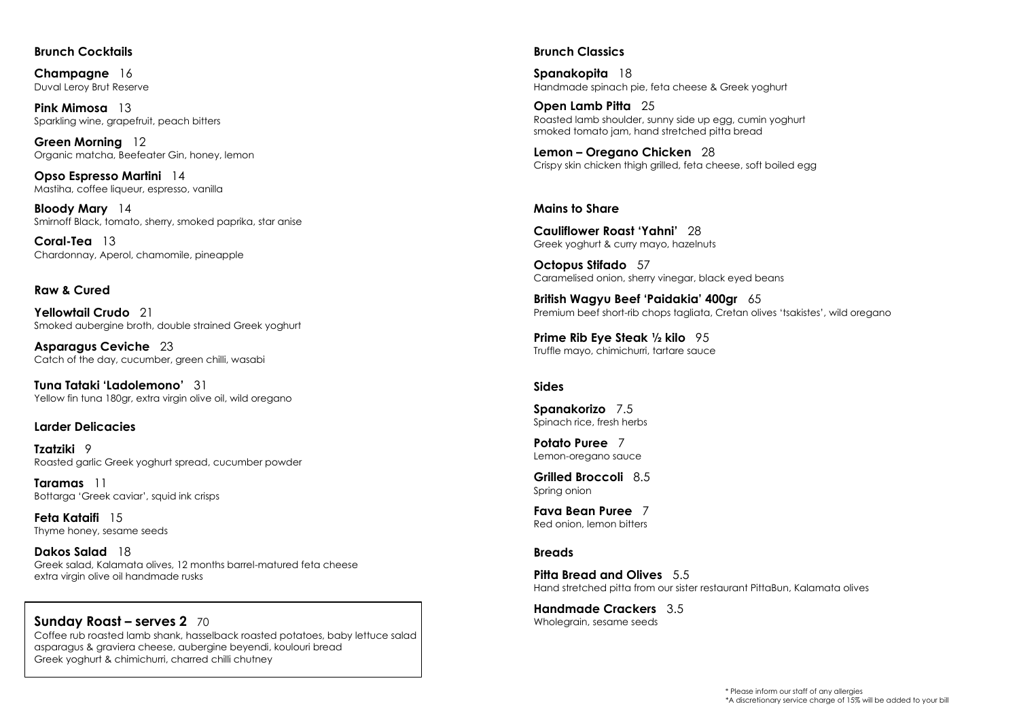#### **Brunch Cocktails**

**Champagne** 16 Duval Leroy Brut Reserve

**Pink Mimosa** 13 Sparkling wine, grapefruit, peach bitters

**Green Morning** 12 Organic matcha, Beefeater Gin, honey, lemon

**Opso Espresso Martini** 14 Mastiha, coffee liqueur, espresso, vanilla

**Bloody Mary** 14 Smirnoff Black, tomato, sherry, smoked paprika, star anise

**Coral-Tea** 13 Chardonnay, Aperol, chamomile, pineapple

### **Raw & Cured**

**Yellowtail Crudo** 21 Smoked aubergine broth, double strained Greek yoghurt

**Asparagus Ceviche** 23 Catch of the day, cucumber, green chilli, wasabi

**Tuna Tataki 'Ladolemono'** 31 Yellow fin tung 180gr, extra virgin olive oil, wild oregano

#### **Larder Delicacies**

**Tzatziki** 9 Roasted garlic Greek yoghurt spread, cucumber powder

**Taramas** 11 Bottarga 'Greek caviar', squid ink crisps

**Feta Kataifi** 15 Thyme honey, sesame seeds

**Dakos Salad** 18 Greek salad, Kalamata olives, 12 months barrel-matured feta cheese extra virgin olive oil handmade rusks

#### **Sunday Roast – serves 2** 70 Coffee rub roasted lamb shank, hasselback roasted potatoes, baby lettuce salad

asparagus & graviera cheese, aubergine beyendi, koulouri bread Greek yoghurt & chimichurri, charred chilli chutney

#### **Brunch Classics**

**Spanakopita** 18 Handmade spinach pie, feta cheese & Greek yoghurt

**Open Lamb Pitta** 25 Roasted lamb shoulder, sunny side up egg, cumin yoghurt smoked tomato jam, hand stretched pitta bread

**Lemon – Oregano Chicken** 28 Crispy skin chicken thigh grilled, feta cheese, soft boiled egg

#### **Mains to Share**

**Cauliflower Roast 'Yahni'** 28 Greek yoghurt & curry mayo, hazelnuts

**Octopus Stifado** 57 Caramelised onion, sherry vinegar, black eyed beans

**British Wagyu Beef 'Paidakia' 400gr** 65 Premium beef short-rib chops tagliata, Cretan olives 'tsakistes', wild oregano

**Prime Rib Eye Steak ½ kilo** 95 Truffle mayo, chimichurri, tartare sauce

#### **Sides**

**Spanakorizo** 7.5 Spinach rice, fresh herbs

**Potato Puree** 7 Lemon-oregano sauce

**Grilled Broccoli** 8.5 Spring onion

**Fava Bean Puree** 7 Red onion, lemon bitters

#### **Breads**

**Pitta Bread and Olives** 5.5 Hand stretched pitta from our sister restaurant PittaBun, Kalamata olives

**Handmade Crackers** 3.5 Wholegrain, sesame seeds